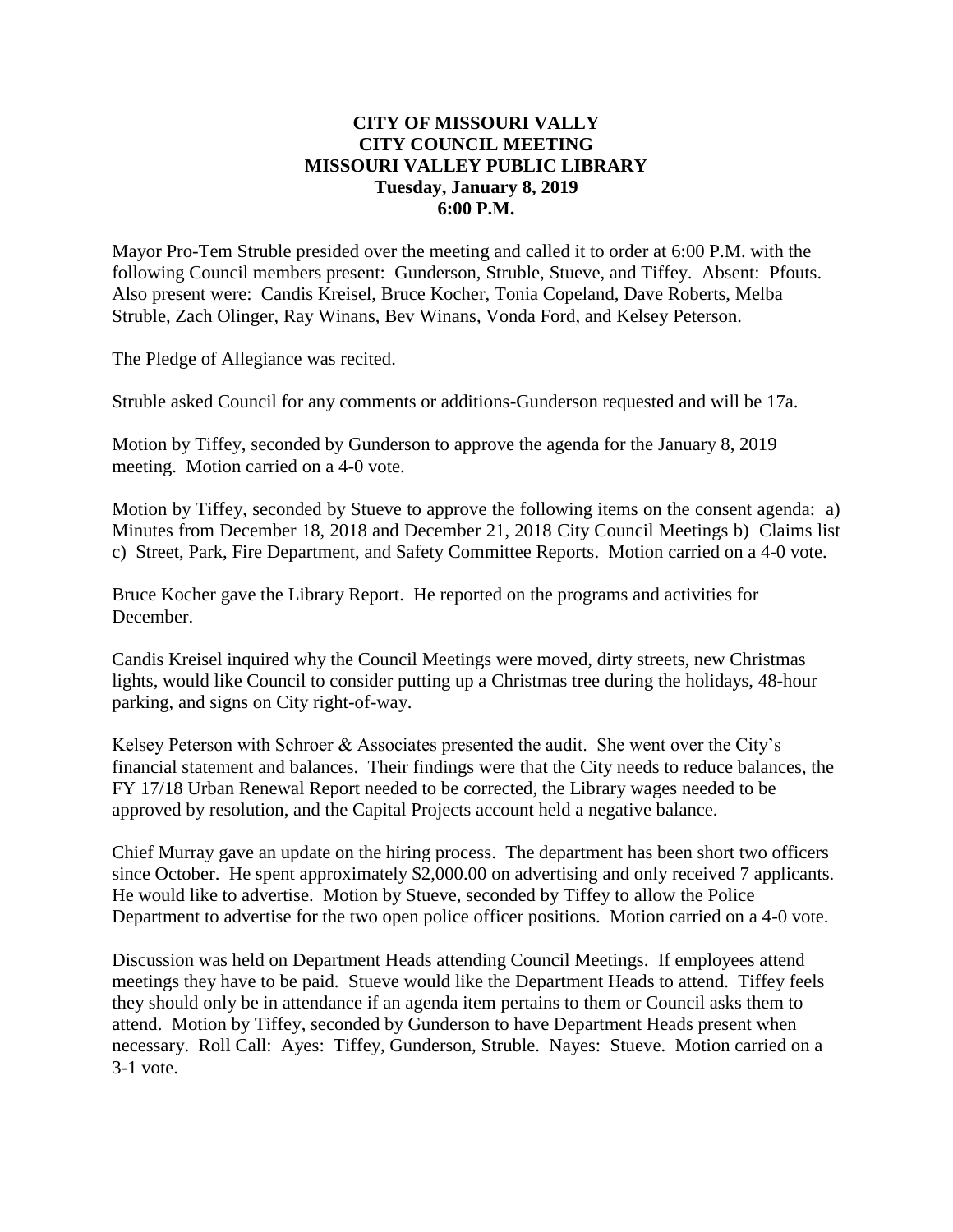# **CITY OF MISSOURI VALLY CITY COUNCIL MEETING MISSOURI VALLEY PUBLIC LIBRARY Tuesday, January 8, 2019 6:00 P.M.**

Mayor Pro-Tem Struble presided over the meeting and called it to order at 6:00 P.M. with the following Council members present: Gunderson, Struble, Stueve, and Tiffey. Absent: Pfouts. Also present were: Candis Kreisel, Bruce Kocher, Tonia Copeland, Dave Roberts, Melba Struble, Zach Olinger, Ray Winans, Bev Winans, Vonda Ford, and Kelsey Peterson.

The Pledge of Allegiance was recited.

Struble asked Council for any comments or additions-Gunderson requested and will be 17a.

Motion by Tiffey, seconded by Gunderson to approve the agenda for the January 8, 2019 meeting. Motion carried on a 4-0 vote.

Motion by Tiffey, seconded by Stueve to approve the following items on the consent agenda: a) Minutes from December 18, 2018 and December 21, 2018 City Council Meetings b) Claims list c) Street, Park, Fire Department, and Safety Committee Reports. Motion carried on a 4-0 vote.

Bruce Kocher gave the Library Report. He reported on the programs and activities for December.

Candis Kreisel inquired why the Council Meetings were moved, dirty streets, new Christmas lights, would like Council to consider putting up a Christmas tree during the holidays, 48-hour parking, and signs on City right-of-way.

Kelsey Peterson with Schroer & Associates presented the audit. She went over the City's financial statement and balances. Their findings were that the City needs to reduce balances, the FY 17/18 Urban Renewal Report needed to be corrected, the Library wages needed to be approved by resolution, and the Capital Projects account held a negative balance.

Chief Murray gave an update on the hiring process. The department has been short two officers since October. He spent approximately \$2,000.00 on advertising and only received 7 applicants. He would like to advertise. Motion by Stueve, seconded by Tiffey to allow the Police Department to advertise for the two open police officer positions. Motion carried on a 4-0 vote.

Discussion was held on Department Heads attending Council Meetings. If employees attend meetings they have to be paid. Stueve would like the Department Heads to attend. Tiffey feels they should only be in attendance if an agenda item pertains to them or Council asks them to attend. Motion by Tiffey, seconded by Gunderson to have Department Heads present when necessary. Roll Call: Ayes: Tiffey, Gunderson, Struble. Nayes: Stueve. Motion carried on a 3-1 vote.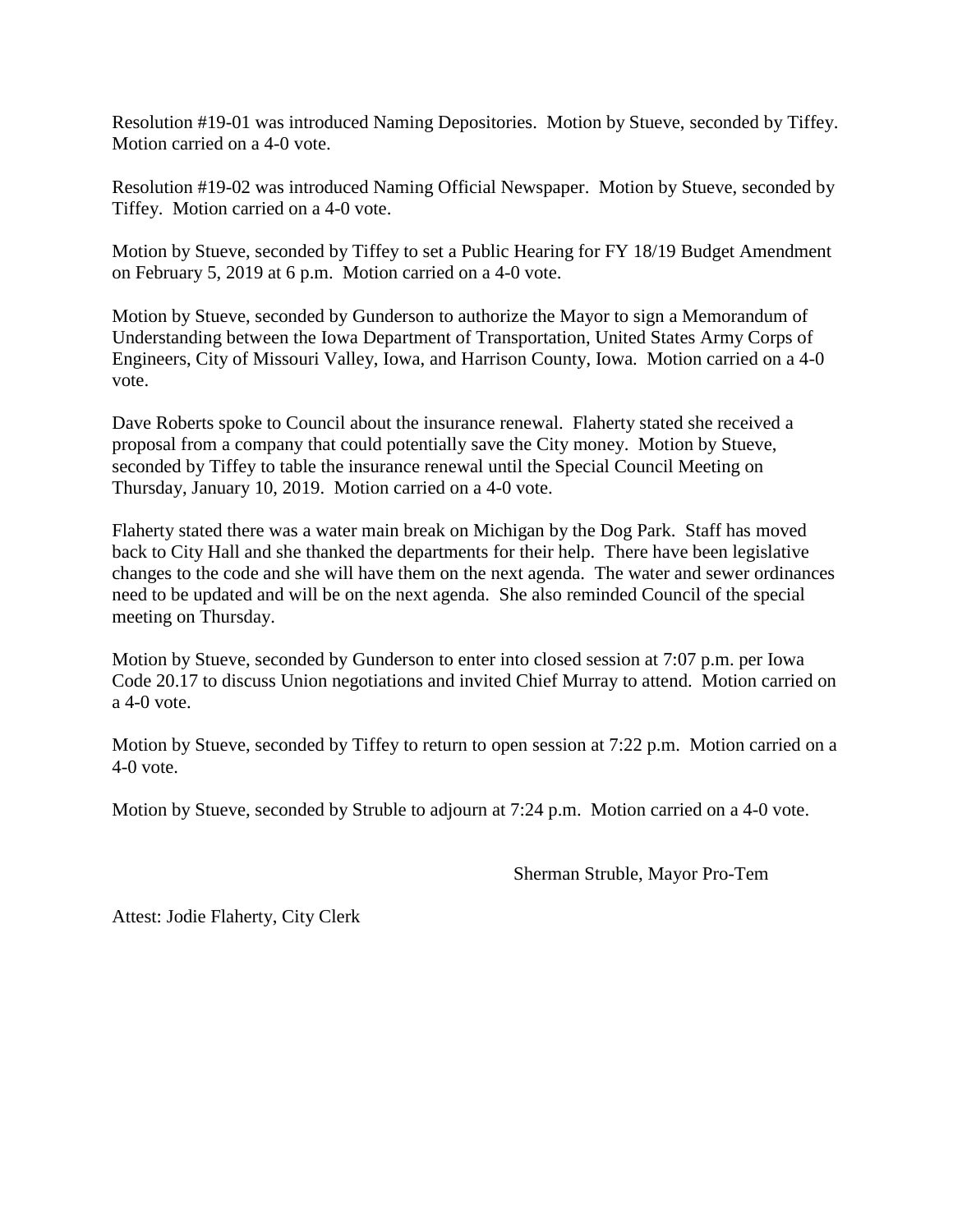Resolution #19-01 was introduced Naming Depositories. Motion by Stueve, seconded by Tiffey. Motion carried on a 4-0 vote.

Resolution #19-02 was introduced Naming Official Newspaper. Motion by Stueve, seconded by Tiffey. Motion carried on a 4-0 vote.

Motion by Stueve, seconded by Tiffey to set a Public Hearing for FY 18/19 Budget Amendment on February 5, 2019 at 6 p.m. Motion carried on a 4-0 vote.

Motion by Stueve, seconded by Gunderson to authorize the Mayor to sign a Memorandum of Understanding between the Iowa Department of Transportation, United States Army Corps of Engineers, City of Missouri Valley, Iowa, and Harrison County, Iowa. Motion carried on a 4-0 vote.

Dave Roberts spoke to Council about the insurance renewal. Flaherty stated she received a proposal from a company that could potentially save the City money. Motion by Stueve, seconded by Tiffey to table the insurance renewal until the Special Council Meeting on Thursday, January 10, 2019. Motion carried on a 4-0 vote.

Flaherty stated there was a water main break on Michigan by the Dog Park. Staff has moved back to City Hall and she thanked the departments for their help. There have been legislative changes to the code and she will have them on the next agenda. The water and sewer ordinances need to be updated and will be on the next agenda. She also reminded Council of the special meeting on Thursday.

Motion by Stueve, seconded by Gunderson to enter into closed session at 7:07 p.m. per Iowa Code 20.17 to discuss Union negotiations and invited Chief Murray to attend. Motion carried on a 4-0 vote.

Motion by Stueve, seconded by Tiffey to return to open session at 7:22 p.m. Motion carried on a 4-0 vote.

Motion by Stueve, seconded by Struble to adjourn at 7:24 p.m. Motion carried on a 4-0 vote.

Sherman Struble, Mayor Pro-Tem

Attest: Jodie Flaherty, City Clerk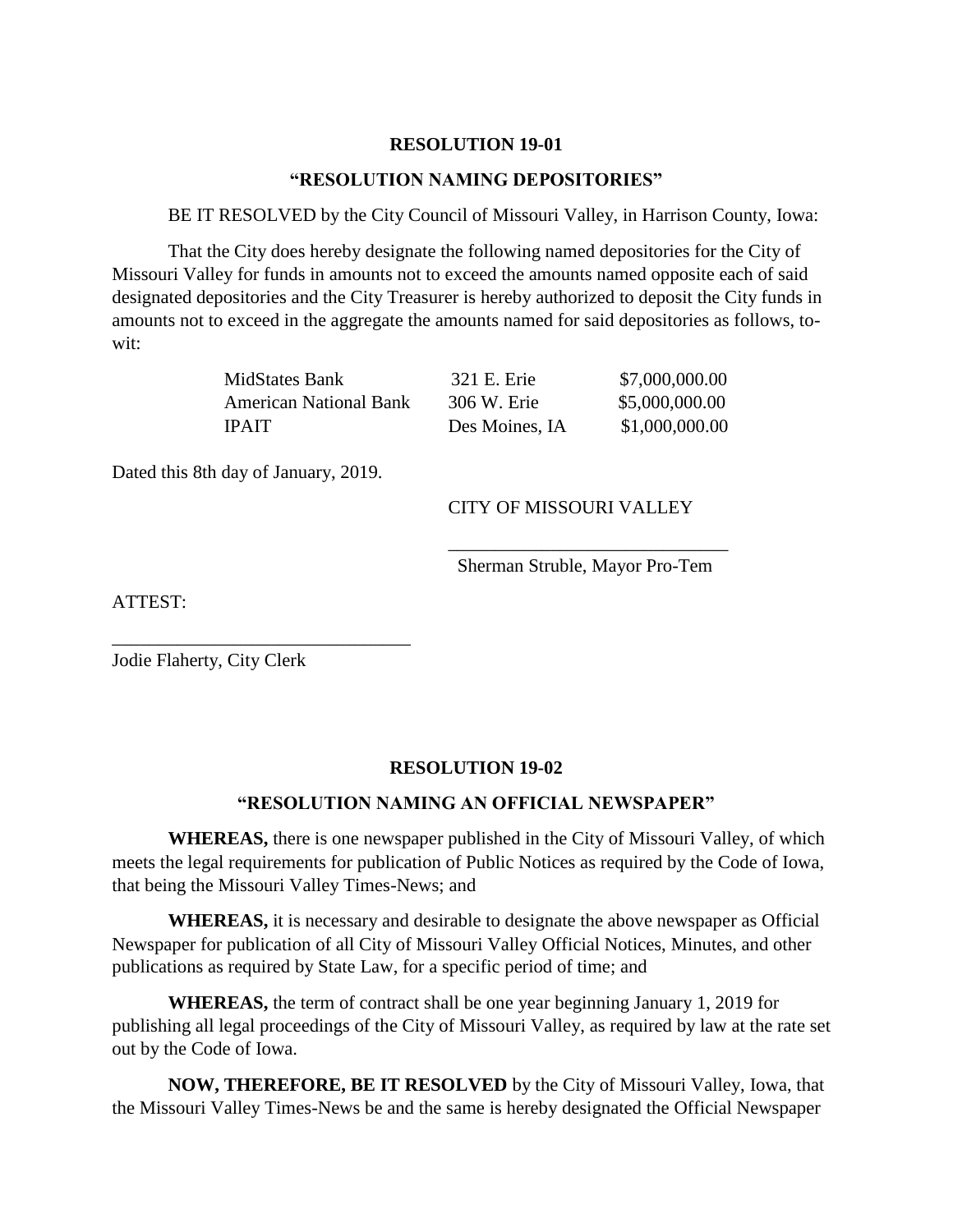## **RESOLUTION 19-01**

## **"RESOLUTION NAMING DEPOSITORIES"**

BE IT RESOLVED by the City Council of Missouri Valley, in Harrison County, Iowa:

 That the City does hereby designate the following named depositories for the City of Missouri Valley for funds in amounts not to exceed the amounts named opposite each of said designated depositories and the City Treasurer is hereby authorized to deposit the City funds in amounts not to exceed in the aggregate the amounts named for said depositories as follows, towit:

| MidStates Bank                | 321 E. Erie    | \$7,000,000.00 |
|-------------------------------|----------------|----------------|
| <b>American National Bank</b> | 306 W. Erie    | \$5,000,000.00 |
| <b>IPAIT</b>                  | Des Moines, IA | \$1,000,000.00 |

Dated this 8th day of January, 2019.

\_\_\_\_\_\_\_\_\_\_\_\_\_\_\_\_\_\_\_\_\_\_\_\_\_\_\_\_\_\_\_\_

# CITY OF MISSOURI VALLEY

\_\_\_\_\_\_\_\_\_\_\_\_\_\_\_\_\_\_\_\_\_\_\_\_\_\_\_\_\_\_ Sherman Struble, Mayor Pro-Tem

ATTEST:

Jodie Flaherty, City Clerk

### **RESOLUTION 19-02**

### **"RESOLUTION NAMING AN OFFICIAL NEWSPAPER"**

**WHEREAS,** there is one newspaper published in the City of Missouri Valley, of which meets the legal requirements for publication of Public Notices as required by the Code of Iowa, that being the Missouri Valley Times-News; and

**WHEREAS,** it is necessary and desirable to designate the above newspaper as Official Newspaper for publication of all City of Missouri Valley Official Notices, Minutes, and other publications as required by State Law, for a specific period of time; and

**WHEREAS,** the term of contract shall be one year beginning January 1, 2019 for publishing all legal proceedings of the City of Missouri Valley, as required by law at the rate set out by the Code of Iowa.

**NOW, THEREFORE, BE IT RESOLVED** by the City of Missouri Valley, Iowa, that the Missouri Valley Times-News be and the same is hereby designated the Official Newspaper